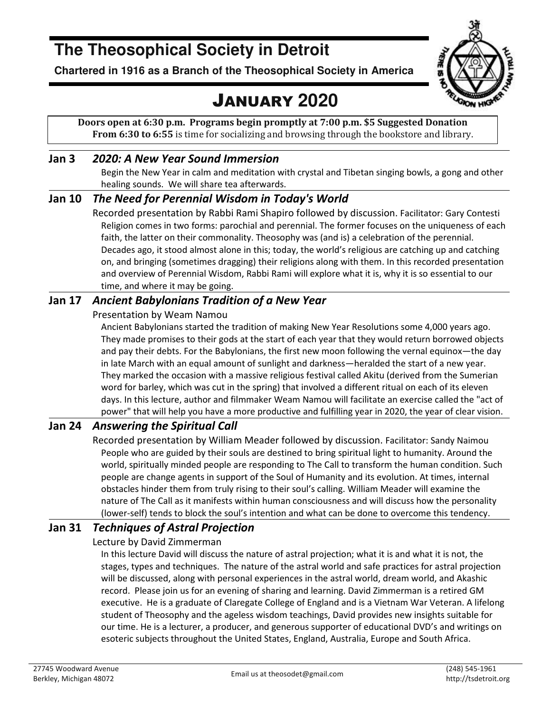# **The Theosophical Society in Detroit**

**Chartered in 1916 as a Branch of the Theosophical Society in America** 

# JANUARY **2020**



**Doors open at 6:30 p.m. Programs begin promptly at 7:00 p.m. \$5 Suggested Donation From 6:30 to 6:55** is time for socializing and browsing through the bookstore and library.

### **Jan 3** *2020: A New Year Sound Immersion*

Begin the New Year in calm and meditation with crystal and Tibetan singing bowls, a gong and other healing sounds. We will share tea afterwards.

### **Jan 10** *The Need for Perennial Wisdom in Today's World*

Recorded presentation by Rabbi Rami Shapiro followed by discussion. Facilitator: Gary Contesti Religion comes in two forms: parochial and perennial. The former focuses on the uniqueness of each faith, the latter on their commonality. Theosophy was (and is) a celebration of the perennial. Decades ago, it stood almost alone in this; today, the world's religious are catching up and catching on, and bringing (sometimes dragging) their religions along with them. In this recorded presentation and overview of Perennial Wisdom, Rabbi Rami will explore what it is, why it is so essential to our time, and where it may be going.

### **Jan 17** *Ancient Babylonians Tradition of a New Year*

### Presentation by Weam Namou

Ancient Babylonians started the tradition of making New Year Resolutions some 4,000 years ago. They made promises to their gods at the start of each year that they would return borrowed objects and pay their debts. For the Babylonians, the first new moon following the vernal equinox—the day in late March with an equal amount of sunlight and darkness—heralded the start of a new year. They marked the occasion with a massive religious festival called Akitu (derived from the Sumerian word for barley, which was cut in the spring) that involved a different ritual on each of its eleven days. In this lecture, author and filmmaker Weam Namou will facilitate an exercise called the "act of power" that will help you have a more productive and fulfilling year in 2020, the year of clear vision.

### **Jan 24** *Answering the Spiritual Call*

Recorded presentation by William Meader followed by discussion. Facilitator: Sandy Naimou People who are guided by their souls are destined to bring spiritual light to humanity. Around the world, spiritually minded people are responding to The Call to transform the human condition. Such people are change agents in support of the Soul of Humanity and its evolution. At times, internal obstacles hinder them from truly rising to their soul's calling. William Meader will examine the nature of The Call as it manifests within human consciousness and will discuss how the personality (lower-self) tends to block the soul's intention and what can be done to overcome this tendency.

### **Jan 31** *Techniques of Astral Projection*

### Lecture by David Zimmerman

In this lecture David will discuss the nature of astral projection; what it is and what it is not, the stages, types and techniques. The nature of the astral world and safe practices for astral projection will be discussed, along with personal experiences in the astral world, dream world, and Akashic record. Please join us for an evening of sharing and learning. David Zimmerman is a retired GM executive. He is a graduate of Claregate College of England and is a Vietnam War Veteran. A lifelong student of Theosophy and the ageless wisdom teachings, David provides new insights suitable for our time. He is a lecturer, a producer, and generous supporter of educational DVD's and writings on esoteric subjects throughout the United States, England, Australia, Europe and South Africa.